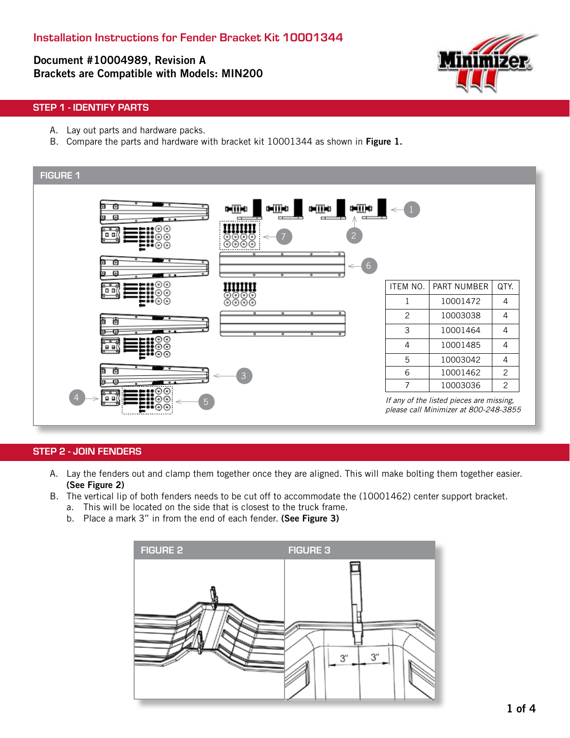Document #10004989, Revision A Brackets are Compatible with Models: MIN200



# STEP 1 - IDENTIFY PARTS

- A. Lay out parts and hardware packs.
- B. Compare the parts and hardware with bracket kit 10001344 as shown in Figure 1.



## STEP 2 - JOIN FENDERS

- A. Lay the fenders out and clamp them together once they are aligned. This will make bolting them together easier. (See Figure 2)
- B. The vertical lip of both fenders needs to be cut off to accommodate the (10001462) center support bracket.
	- a. This will be located on the side that is closest to the truck frame.
	- b. Place a mark 3" in from the end of each fender. (See Figure 3)

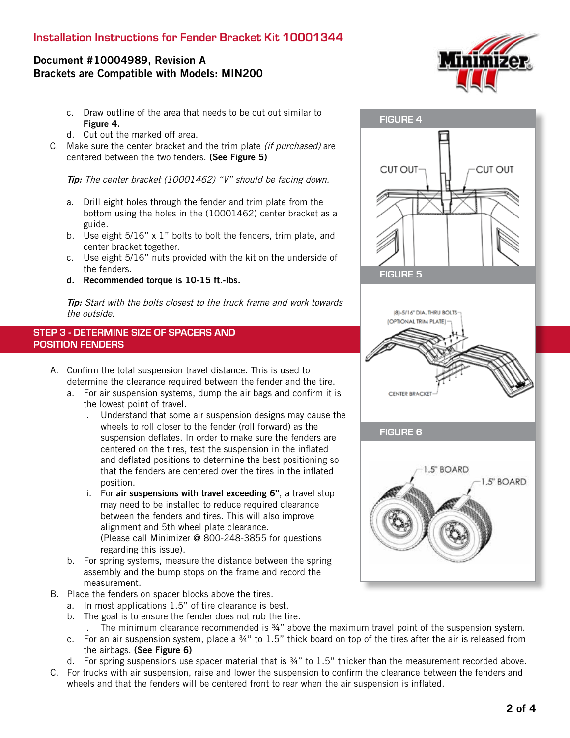# Installation Instructions for Fender Bracket Kit 10001344

# Document #10004989, Revision A Brackets are Compatible with Models: MIN200

- c. Draw outline of the area that needs to be cut out similar to Figure 4.
- d. Cut out the marked off area.
- C. Make sure the center bracket and the trim plate *(if purchased)* are centered between the two fenders. (See Figure 5)

Tip: The center bracket (10001462) "V" should be facing down.

- a. Drill eight holes through the fender and trim plate from the bottom using the holes in the (10001462) center bracket as a guide.
- b. Use eight 5/16" x 1" bolts to bolt the fenders, trim plate, and center bracket together.
- c. Use eight 5/16" nuts provided with the kit on the underside of the fenders.
- d. Recommended torque is 10-15 ft.-lbs.

Tip: Start with the bolts closest to the truck frame and work towards the outside.

## STEP 3 - DETERMINE SIZE OF SPACERS AND POSITION FENDERS

- A. Confirm the total suspension travel distance. This is used to determine the clearance required between the fender and the tire.
	- a. For air suspension systems, dump the air bags and confirm it is the lowest point of travel.
		- i. Understand that some air suspension designs may cause the wheels to roll closer to the fender (roll forward) as the suspension deflates. In order to make sure the fenders are centered on the tires, test the suspension in the inflated and deflated positions to determine the best positioning so that the fenders are centered over the tires in the inflated position.
		- ii. For air suspensions with travel exceeding 6", a travel stop may need to be installed to reduce required clearance between the fenders and tires. This will also improve alignment and 5th wheel plate clearance. (Please call Minimizer @ 800-248-3855 for questions regarding this issue).
	- b. For spring systems, measure the distance between the spring assembly and the bump stops on the frame and record the measurement.
- B. Place the fenders on spacer blocks above the tires.
	- a. In most applications 1.5" of tire clearance is best.
	- b. The goal is to ensure the fender does not rub the tire.
	- i. The minimum clearance recommended is ¾" above the maximum travel point of the suspension system.
	- c. For an air suspension system, place a ¾" to 1.5" thick board on top of the tires after the air is released from the airbags. (See Figure 6)
	- d. For spring suspensions use spacer material that is ¾" to 1.5" thicker than the measurement recorded above.
- C. For trucks with air suspension, raise and lower the suspension to confirm the clearance between the fenders and wheels and that the fenders will be centered front to rear when the air suspension is inflated.



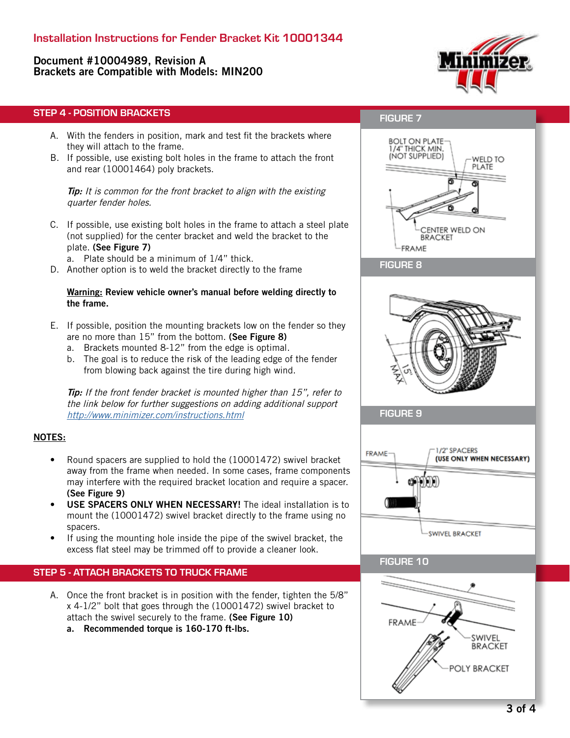## Document #10004989, Revision A Brackets are Compatible with Models: MIN200



#### STEP 4 - POSITION BRACKETS

- A. With the fenders in position, mark and test fit the brackets where they will attach to the frame.
- B. If possible, use existing bolt holes in the frame to attach the front and rear (10001464) poly brackets.

**Tip:** It is common for the front bracket to align with the existing quarter fender holes.

- C. If possible, use existing bolt holes in the frame to attach a steel plate (not supplied) for the center bracket and weld the bracket to the plate. (See Figure 7)
	- a. Plate should be a minimum of 1/4" thick.
- D. Another option is to weld the bracket directly to the frame

#### Warning: Review vehicle owner's manual before welding directly to the frame.

- E. If possible, position the mounting brackets low on the fender so they are no more than 15" from the bottom. (See Figure 8)
	- a. Brackets mounted 8-12" from the edge is optimal.
	- b. The goal is to reduce the risk of the leading edge of the fender from blowing back against the tire during high wind.

**Tip:** If the front fender bracket is mounted higher than 15", refer to the link below for further suggestions on adding additional support http://www.minimizer.com/instructions.html

#### NOTES:

- Round spacers are supplied to hold the (10001472) swivel bracket away from the frame when needed. In some cases, frame components may interfere with the required bracket location and require a spacer. (See Figure 9)
- USE SPACERS ONLY WHEN NECESSARY! The ideal installation is to mount the (10001472) swivel bracket directly to the frame using no spacers.
- If using the mounting hole inside the pipe of the swivel bracket, the excess flat steel may be trimmed off to provide a cleaner look.

#### STEP 5 - ATTACH BRACKETS TO TRUCK FRAME

A. Once the front bracket is in position with the fender, tighten the 5/8" x 4-1/2" bolt that goes through the (10001472) swivel bracket to attach the swivel securely to the frame. (See Figure 10) a. Recommended torque is 160-170 ft-lbs.

# FIGURE 7



#### FIGURE 8







FIGURE 10